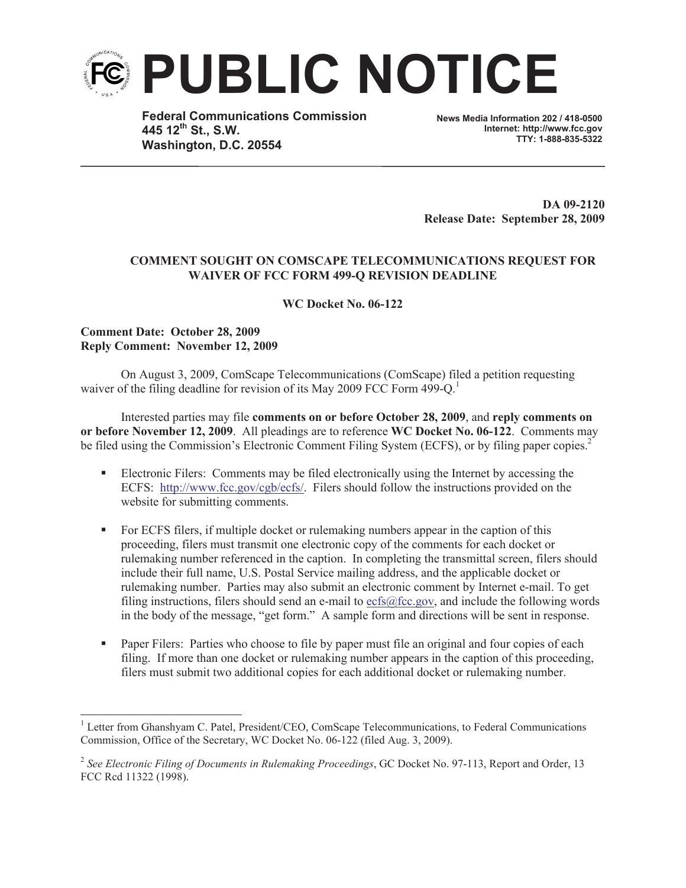

**Federal Communications Commission 445 12th St., S.W. Washington, D.C. 20554**

**News Media Information 202 / 418-0500 Internet: http://www.fcc.gov TTY: 1-888-835-5322**

**DA 09-2120 Release Date: September 28, 2009**

## **COMMENT SOUGHT ON COMSCAPE TELECOMMUNICATIONS REQUEST FOR WAIVER OF FCC FORM 499-Q REVISION DEADLINE**

**WC Docket No. 06-122**

## **Comment Date: October 28, 2009 Reply Comment: November 12, 2009**

On August 3, 2009, ComScape Telecommunications (ComScape) filed a petition requesting waiver of the filing deadline for revision of its May 2009 FCC Form 499-Q.<sup>1</sup>

Interested parties may file **comments on or before October 28, 2009**, and **reply comments on or before November 12, 2009**. All pleadings are to reference **WC Docket No. 06-122**. Comments may be filed using the Commission's Electronic Comment Filing System (ECFS), or by filing paper copies.<sup>2</sup>

- Electronic Filers: Comments may be filed electronically using the Internet by accessing the ECFS: http://www.fcc.gov/cgb/ecfs/. Filers should follow the instructions provided on the website for submitting comments.
- For ECFS filers, if multiple docket or rulemaking numbers appear in the caption of this proceeding, filers must transmit one electronic copy of the comments for each docket or rulemaking number referenced in the caption. In completing the transmittal screen, filers should include their full name, U.S. Postal Service mailing address, and the applicable docket or rulemaking number. Parties may also submit an electronic comment by Internet e-mail. To get filing instructions, filers should send an e-mail to ecfs@fcc.gov, and include the following words in the body of the message, "get form." A sample form and directions will be sent in response.
- § Paper Filers: Parties who choose to file by paper must file an original and four copies of each filing. If more than one docket or rulemaking number appears in the caption of this proceeding, filers must submit two additional copies for each additional docket or rulemaking number.

<sup>&</sup>lt;sup>1</sup> Letter from Ghanshyam C. Patel, President/CEO, ComScape Telecommunications, to Federal Communications Commission, Office of the Secretary, WC Docket No. 06-122 (filed Aug. 3, 2009).

<sup>2</sup> *See Electronic Filing of Documents in Rulemaking Proceedings*, GC Docket No. 97-113, Report and Order, 13 FCC Rcd 11322 (1998).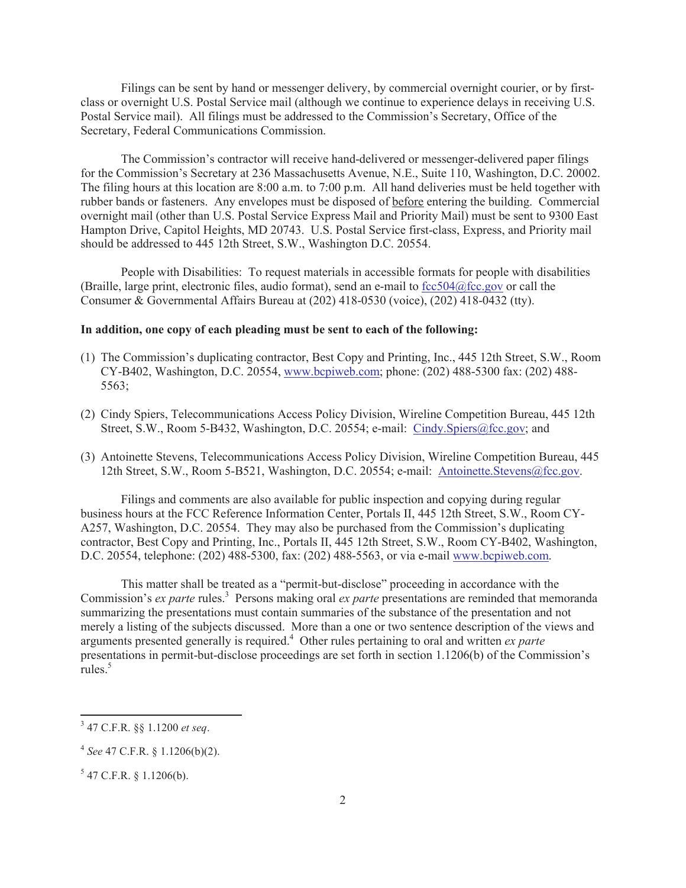Filings can be sent by hand or messenger delivery, by commercial overnight courier, or by firstclass or overnight U.S. Postal Service mail (although we continue to experience delays in receiving U.S. Postal Service mail). All filings must be addressed to the Commission's Secretary, Office of the Secretary, Federal Communications Commission.

The Commission's contractor will receive hand-delivered or messenger-delivered paper filings for the Commission's Secretary at 236 Massachusetts Avenue, N.E., Suite 110, Washington, D.C. 20002. The filing hours at this location are 8:00 a.m. to 7:00 p.m. All hand deliveries must be held together with rubber bands or fasteners. Any envelopes must be disposed of before entering the building. Commercial overnight mail (other than U.S. Postal Service Express Mail and Priority Mail) must be sent to 9300 East Hampton Drive, Capitol Heights, MD 20743. U.S. Postal Service first-class, Express, and Priority mail should be addressed to 445 12th Street, S.W., Washington D.C. 20554.

People with Disabilities: To request materials in accessible formats for people with disabilities (Braille, large print, electronic files, audio format), send an e-mail to  $fcc504@$ fcc.gov or call the Consumer & Governmental Affairs Bureau at (202) 418-0530 (voice), (202) 418-0432 (tty).

## **In addition, one copy of each pleading must be sent to each of the following:**

- (1) The Commission's duplicating contractor, Best Copy and Printing, Inc., 445 12th Street, S.W., Room CY-B402, Washington, D.C. 20554, www.bcpiweb.com; phone: (202) 488-5300 fax: (202) 488- 5563;
- (2) Cindy Spiers, Telecommunications Access Policy Division, Wireline Competition Bureau, 445 12th Street, S.W., Room 5-B432, Washington, D.C. 20554; e-mail: Cindy.Spiers@fcc.gov; and
- (3) Antoinette Stevens, Telecommunications Access Policy Division, Wireline Competition Bureau, 445 12th Street, S.W., Room 5-B521, Washington, D.C. 20554; e-mail: Antoinette.Stevens@fcc.gov.

Filings and comments are also available for public inspection and copying during regular business hours at the FCC Reference Information Center, Portals II, 445 12th Street, S.W., Room CY-A257, Washington, D.C. 20554. They may also be purchased from the Commission's duplicating contractor, Best Copy and Printing, Inc., Portals II, 445 12th Street, S.W., Room CY-B402, Washington, D.C. 20554, telephone: (202) 488-5300, fax: (202) 488-5563, or via e-mail www.bcpiweb.com.

This matter shall be treated as a "permit-but-disclose" proceeding in accordance with the Commission's *ex parte* rules.<sup>3</sup> Persons making oral *ex parte* presentations are reminded that memoranda summarizing the presentations must contain summaries of the substance of the presentation and not merely a listing of the subjects discussed. More than a one or two sentence description of the views and arguments presented generally is required.<sup>4</sup> Other rules pertaining to oral and written *ex parte* presentations in permit-but-disclose proceedings are set forth in section 1.1206(b) of the Commission's  $rule<sub>5</sub>5$ 

<sup>3</sup> 47 C.F.R. §§ 1.1200 *et seq*.

<sup>4</sup> *See* 47 C.F.R. § 1.1206(b)(2).

 $5$  47 C.F.R. § 1.1206(b).